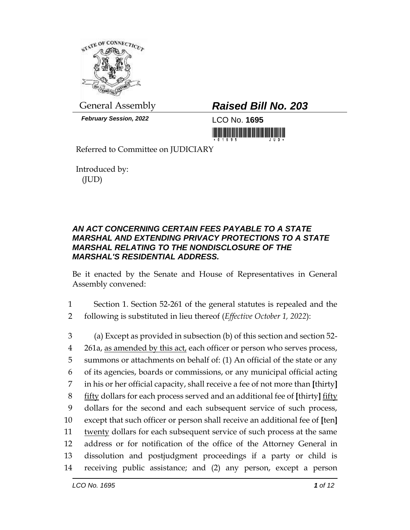

*February Session, 2022* LCO No. **1695**

## General Assembly *Raised Bill No. 203*

Referred to Committee on JUDICIARY

Introduced by: (JUD)

## *AN ACT CONCERNING CERTAIN FEES PAYABLE TO A STATE MARSHAL AND EXTENDING PRIVACY PROTECTIONS TO A STATE MARSHAL RELATING TO THE NONDISCLOSURE OF THE MARSHAL'S RESIDENTIAL ADDRESS.*

Be it enacted by the Senate and House of Representatives in General Assembly convened:

- 1 Section 1. Section 52-261 of the general statutes is repealed and the 2 following is substituted in lieu thereof (*Effective October 1, 2022*):
- 3 (a) Except as provided in subsection (b) of this section and section 52- 4 261a, as amended by this act, each officer or person who serves process, 5 summons or attachments on behalf of: (1) An official of the state or any 6 of its agencies, boards or commissions, or any municipal official acting 7 in his or her official capacity, shall receive a fee of not more than **[**thirty**]** 8 fifty dollars for each process served and an additional fee of **[**thirty**]** fifty 9 dollars for the second and each subsequent service of such process, 10 except that such officer or person shall receive an additional fee of **[**ten**]** 11 twenty dollars for each subsequent service of such process at the same 12 address or for notification of the office of the Attorney General in 13 dissolution and postjudgment proceedings if a party or child is 14 receiving public assistance; and (2) any person, except a person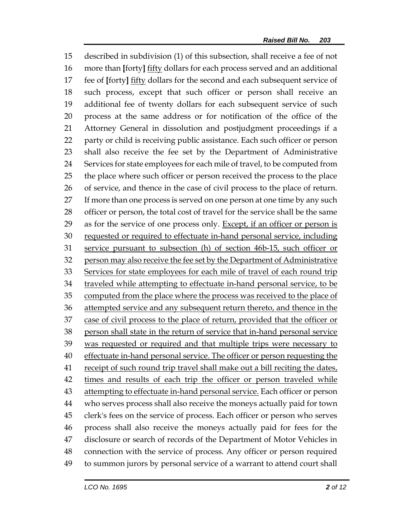described in subdivision (1) of this subsection, shall receive a fee of not more than **[**forty**]** fifty dollars for each process served and an additional fee of **[**forty**]** fifty dollars for the second and each subsequent service of such process, except that such officer or person shall receive an additional fee of twenty dollars for each subsequent service of such process at the same address or for notification of the office of the Attorney General in dissolution and postjudgment proceedings if a party or child is receiving public assistance. Each such officer or person shall also receive the fee set by the Department of Administrative Services for state employees for each mile of travel, to be computed from the place where such officer or person received the process to the place of service, and thence in the case of civil process to the place of return. 27 If more than one process is served on one person at one time by any such officer or person, the total cost of travel for the service shall be the same as for the service of one process only. Except, if an officer or person is requested or required to effectuate in-hand personal service, including service pursuant to subsection (h) of section 46b-15, such officer or 32 person may also receive the fee set by the Department of Administrative 33 Services for state employees for each mile of travel of each round trip traveled while attempting to effectuate in-hand personal service, to be 35 computed from the place where the process was received to the place of attempted service and any subsequent return thereto, and thence in the case of civil process to the place of return, provided that the officer or person shall state in the return of service that in-hand personal service 39 was requested or required and that multiple trips were necessary to 40 effectuate in-hand personal service. The officer or person requesting the receipt of such round trip travel shall make out a bill reciting the dates, times and results of each trip the officer or person traveled while 43 attempting to effectuate in-hand personal service. Each officer or person who serves process shall also receive the moneys actually paid for town clerk's fees on the service of process. Each officer or person who serves process shall also receive the moneys actually paid for fees for the disclosure or search of records of the Department of Motor Vehicles in connection with the service of process. Any officer or person required to summon jurors by personal service of a warrant to attend court shall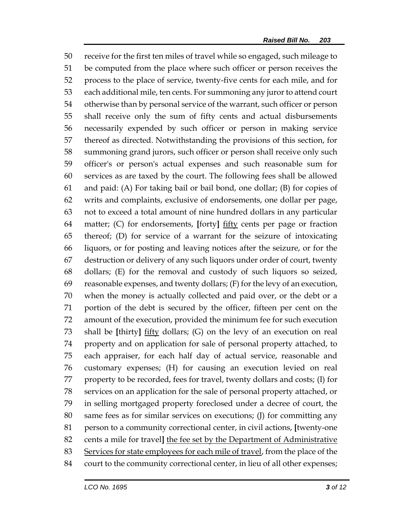receive for the first ten miles of travel while so engaged, such mileage to be computed from the place where such officer or person receives the process to the place of service, twenty-five cents for each mile, and for each additional mile, ten cents. For summoning any juror to attend court otherwise than by personal service of the warrant, such officer or person shall receive only the sum of fifty cents and actual disbursements necessarily expended by such officer or person in making service thereof as directed. Notwithstanding the provisions of this section, for summoning grand jurors, such officer or person shall receive only such officer's or person's actual expenses and such reasonable sum for services as are taxed by the court. The following fees shall be allowed and paid: (A) For taking bail or bail bond, one dollar; (B) for copies of writs and complaints, exclusive of endorsements, one dollar per page, not to exceed a total amount of nine hundred dollars in any particular matter; (C) for endorsements, **[**forty**]** fifty cents per page or fraction thereof; (D) for service of a warrant for the seizure of intoxicating liquors, or for posting and leaving notices after the seizure, or for the destruction or delivery of any such liquors under order of court, twenty dollars; (E) for the removal and custody of such liquors so seized, reasonable expenses, and twenty dollars; (F) for the levy of an execution, when the money is actually collected and paid over, or the debt or a portion of the debt is secured by the officer, fifteen per cent on the amount of the execution, provided the minimum fee for such execution shall be **[**thirty**]** fifty dollars; (G) on the levy of an execution on real property and on application for sale of personal property attached, to each appraiser, for each half day of actual service, reasonable and customary expenses; (H) for causing an execution levied on real property to be recorded, fees for travel, twenty dollars and costs; (I) for services on an application for the sale of personal property attached, or in selling mortgaged property foreclosed under a decree of court, the same fees as for similar services on executions; (J) for committing any person to a community correctional center, in civil actions, **[**twenty-one cents a mile for travel**]** the fee set by the Department of Administrative 83 Services for state employees for each mile of travel, from the place of the court to the community correctional center, in lieu of all other expenses;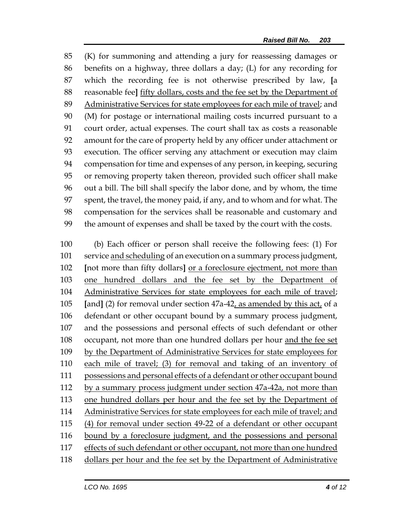(K) for summoning and attending a jury for reassessing damages or benefits on a highway, three dollars a day; (L) for any recording for which the recording fee is not otherwise prescribed by law, **[**a reasonable fee**]** fifty dollars, costs and the fee set by the Department of Administrative Services for state employees for each mile of travel; and (M) for postage or international mailing costs incurred pursuant to a court order, actual expenses. The court shall tax as costs a reasonable amount for the care of property held by any officer under attachment or execution. The officer serving any attachment or execution may claim compensation for time and expenses of any person, in keeping, securing or removing property taken thereon, provided such officer shall make out a bill. The bill shall specify the labor done, and by whom, the time spent, the travel, the money paid, if any, and to whom and for what. The compensation for the services shall be reasonable and customary and the amount of expenses and shall be taxed by the court with the costs.

 (b) Each officer or person shall receive the following fees: (1) For service and scheduling of an execution on a summary process judgment, **[**not more than fifty dollars**]** or a foreclosure ejectment, not more than one hundred dollars and the fee set by the Department of Administrative Services for state employees for each mile of travel; **[**and**]** (2) for removal under section 47a-42, as amended by this act, of a defendant or other occupant bound by a summary process judgment, and the possessions and personal effects of such defendant or other occupant, not more than one hundred dollars per hour and the fee set 109 by the Department of Administrative Services for state employees for each mile of travel; (3) for removal and taking of an inventory of possessions and personal effects of a defendant or other occupant bound by a summary process judgment under section 47a-42a, not more than one hundred dollars per hour and the fee set by the Department of Administrative Services for state employees for each mile of travel; and (4) for removal under section 49-22 of a defendant or other occupant bound by a foreclosure judgment, and the possessions and personal effects of such defendant or other occupant, not more than one hundred 118 dollars per hour and the fee set by the Department of Administrative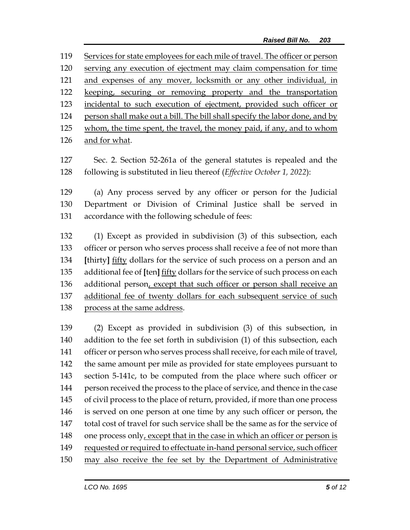Services for state employees for each mile of travel. The officer or person serving any execution of ejectment may claim compensation for time and expenses of any mover, locksmith or any other individual, in keeping, securing or removing property and the transportation incidental to such execution of ejectment, provided such officer or person shall make out a bill. The bill shall specify the labor done, and by 125 whom, the time spent, the travel, the money paid, if any, and to whom and for what.

 Sec. 2. Section 52-261a of the general statutes is repealed and the following is substituted in lieu thereof (*Effective October 1, 2022*):

 (a) Any process served by any officer or person for the Judicial Department or Division of Criminal Justice shall be served in accordance with the following schedule of fees:

 (1) Except as provided in subdivision (3) of this subsection, each officer or person who serves process shall receive a fee of not more than **[**thirty**]** fifty dollars for the service of such process on a person and an additional fee of **[**ten**]** fifty dollars for the service of such process on each additional person, except that such officer or person shall receive an additional fee of twenty dollars for each subsequent service of such process at the same address.

 (2) Except as provided in subdivision (3) of this subsection, in addition to the fee set forth in subdivision (1) of this subsection, each officer or person who serves process shall receive, for each mile of travel, the same amount per mile as provided for state employees pursuant to section 5-141c, to be computed from the place where such officer or person received the process to the place of service, and thence in the case of civil process to the place of return, provided, if more than one process is served on one person at one time by any such officer or person, the total cost of travel for such service shall be the same as for the service of 148 one process only, except that in the case in which an officer or person is requested or required to effectuate in-hand personal service, such officer may also receive the fee set by the Department of Administrative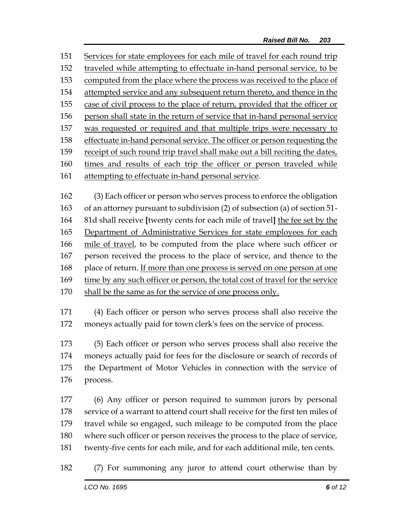Services for state employees for each mile of travel for each round trip traveled while attempting to effectuate in-hand personal service, to be computed from the place where the process was received to the place of attempted service and any subsequent return thereto, and thence in the case of civil process to the place of return, provided that the officer or person shall state in the return of service that in-hand personal service was requested or required and that multiple trips were necessary to effectuate in-hand personal service. The officer or person requesting the receipt of such round trip travel shall make out a bill reciting the dates, times and results of each trip the officer or person traveled while attempting to effectuate in-hand personal service.

 (3) Each officer or person who serves process to enforce the obligation of an attorney pursuant to subdivision (2) of subsection (a) of section 51- 81d shall receive **[**twenty cents for each mile of travel**]** the fee set by the Department of Administrative Services for state employees for each mile of travel, to be computed from the place where such officer or person received the process to the place of service, and thence to the 168 place of return. If more than one process is served on one person at one time by any such officer or person, the total cost of travel for the service shall be the same as for the service of one process only.

 (4) Each officer or person who serves process shall also receive the moneys actually paid for town clerk's fees on the service of process.

 (5) Each officer or person who serves process shall also receive the moneys actually paid for fees for the disclosure or search of records of the Department of Motor Vehicles in connection with the service of process.

 (6) Any officer or person required to summon jurors by personal service of a warrant to attend court shall receive for the first ten miles of travel while so engaged, such mileage to be computed from the place where such officer or person receives the process to the place of service, twenty-five cents for each mile, and for each additional mile, ten cents.

(7) For summoning any juror to attend court otherwise than by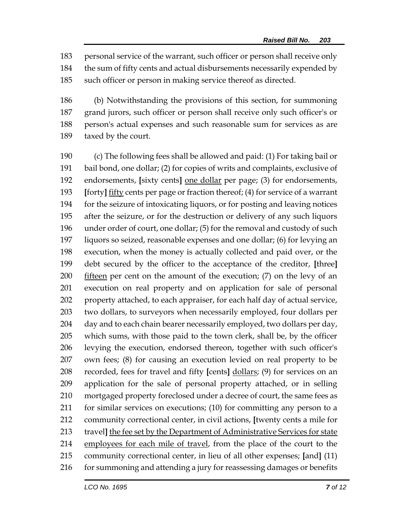personal service of the warrant, such officer or person shall receive only the sum of fifty cents and actual disbursements necessarily expended by such officer or person in making service thereof as directed.

 (b) Notwithstanding the provisions of this section, for summoning grand jurors, such officer or person shall receive only such officer's or person's actual expenses and such reasonable sum for services as are taxed by the court.

 (c) The following fees shall be allowed and paid: (1) For taking bail or bail bond, one dollar; (2) for copies of writs and complaints, exclusive of endorsements, **[**sixty cents**]** one dollar per page; (3) for endorsements, **[**forty**]** fifty cents per page or fraction thereof; (4) for service of a warrant for the seizure of intoxicating liquors, or for posting and leaving notices after the seizure, or for the destruction or delivery of any such liquors under order of court, one dollar; (5) for the removal and custody of such liquors so seized, reasonable expenses and one dollar; (6) for levying an execution, when the money is actually collected and paid over, or the debt secured by the officer to the acceptance of the creditor, **[**three**]** fifteen per cent on the amount of the execution; (7) on the levy of an execution on real property and on application for sale of personal property attached, to each appraiser, for each half day of actual service, two dollars, to surveyors when necessarily employed, four dollars per 204 day and to each chain bearer necessarily employed, two dollars per day, which sums, with those paid to the town clerk, shall be, by the officer levying the execution, endorsed thereon, together with such officer's own fees; (8) for causing an execution levied on real property to be recorded, fees for travel and fifty **[**cents**]** dollars; (9) for services on an application for the sale of personal property attached, or in selling mortgaged property foreclosed under a decree of court, the same fees as for similar services on executions; (10) for committing any person to a community correctional center, in civil actions, **[**twenty cents a mile for travel**]** the fee set by the Department of Administrative Services for state 214 employees for each mile of travel, from the place of the court to the community correctional center, in lieu of all other expenses; **[**and**]** (11) 216 for summoning and attending a jury for reassessing damages or benefits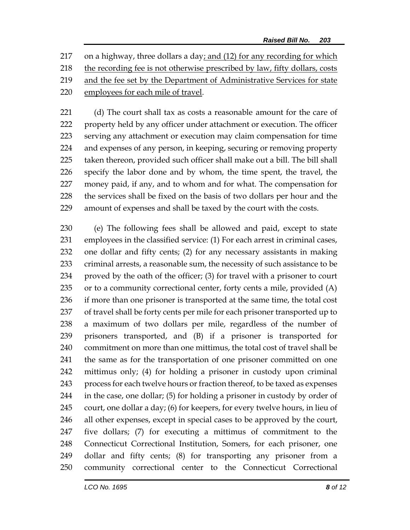on a highway, three dollars a day; and (12) for any recording for which the recording fee is not otherwise prescribed by law, fifty dollars, costs and the fee set by the Department of Administrative Services for state employees for each mile of travel.

221 (d) The court shall tax as costs a reasonable amount for the care of property held by any officer under attachment or execution. The officer serving any attachment or execution may claim compensation for time and expenses of any person, in keeping, securing or removing property taken thereon, provided such officer shall make out a bill. The bill shall specify the labor done and by whom, the time spent, the travel, the money paid, if any, and to whom and for what. The compensation for the services shall be fixed on the basis of two dollars per hour and the amount of expenses and shall be taxed by the court with the costs.

 (e) The following fees shall be allowed and paid, except to state employees in the classified service: (1) For each arrest in criminal cases, one dollar and fifty cents; (2) for any necessary assistants in making criminal arrests, a reasonable sum, the necessity of such assistance to be proved by the oath of the officer; (3) for travel with a prisoner to court 235 or to a community correctional center, forty cents a mile, provided (A) if more than one prisoner is transported at the same time, the total cost of travel shall be forty cents per mile for each prisoner transported up to a maximum of two dollars per mile, regardless of the number of prisoners transported, and (B) if a prisoner is transported for commitment on more than one mittimus, the total cost of travel shall be the same as for the transportation of one prisoner committed on one mittimus only; (4) for holding a prisoner in custody upon criminal process for each twelve hours or fraction thereof, to be taxed as expenses in the case, one dollar; (5) for holding a prisoner in custody by order of court, one dollar a day; (6) for keepers, for every twelve hours, in lieu of all other expenses, except in special cases to be approved by the court, five dollars; (7) for executing a mittimus of commitment to the Connecticut Correctional Institution, Somers, for each prisoner, one dollar and fifty cents; (8) for transporting any prisoner from a community correctional center to the Connecticut Correctional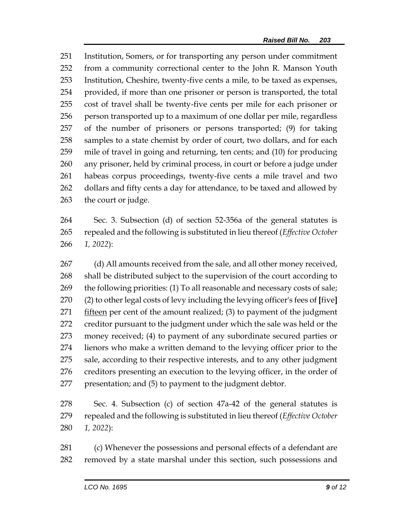Institution, Somers, or for transporting any person under commitment from a community correctional center to the John R. Manson Youth Institution, Cheshire, twenty-five cents a mile, to be taxed as expenses, provided, if more than one prisoner or person is transported, the total cost of travel shall be twenty-five cents per mile for each prisoner or person transported up to a maximum of one dollar per mile, regardless of the number of prisoners or persons transported; (9) for taking samples to a state chemist by order of court, two dollars, and for each mile of travel in going and returning, ten cents; and (10) for producing any prisoner, held by criminal process, in court or before a judge under habeas corpus proceedings, twenty-five cents a mile travel and two 262 dollars and fifty cents a day for attendance, to be taxed and allowed by the court or judge.

 Sec. 3. Subsection (d) of section 52-356a of the general statutes is repealed and the following is substituted in lieu thereof (*Effective October 1, 2022*):

267 (d) All amounts received from the sale, and all other money received, shall be distributed subject to the supervision of the court according to the following priorities: (1) To all reasonable and necessary costs of sale; (2) to other legal costs of levy including the levying officer's fees of **[**five**]** 271 fifteen per cent of the amount realized; (3) to payment of the judgment creditor pursuant to the judgment under which the sale was held or the money received; (4) to payment of any subordinate secured parties or lienors who make a written demand to the levying officer prior to the sale, according to their respective interests, and to any other judgment creditors presenting an execution to the levying officer, in the order of presentation; and (5) to payment to the judgment debtor.

 Sec. 4. Subsection (c) of section 47a-42 of the general statutes is repealed and the following is substituted in lieu thereof (*Effective October 1, 2022*):

 (c) Whenever the possessions and personal effects of a defendant are removed by a state marshal under this section, such possessions and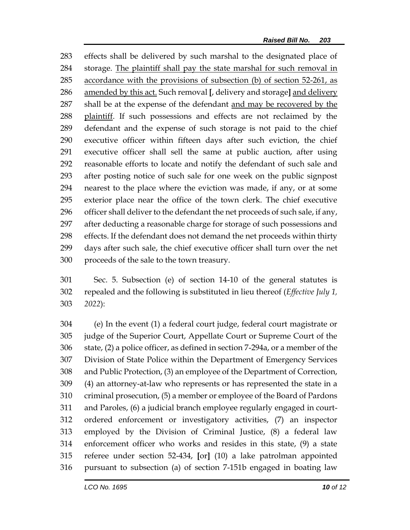effects shall be delivered by such marshal to the designated place of storage. The plaintiff shall pay the state marshal for such removal in accordance with the provisions of subsection (b) of section 52-261, as amended by this act. Such removal **[**, delivery and storage**]** and delivery shall be at the expense of the defendant and may be recovered by the plaintiff. If such possessions and effects are not reclaimed by the defendant and the expense of such storage is not paid to the chief executive officer within fifteen days after such eviction, the chief executive officer shall sell the same at public auction, after using reasonable efforts to locate and notify the defendant of such sale and after posting notice of such sale for one week on the public signpost nearest to the place where the eviction was made, if any, or at some exterior place near the office of the town clerk. The chief executive officer shall deliver to the defendant the net proceeds of such sale, if any, after deducting a reasonable charge for storage of such possessions and effects. If the defendant does not demand the net proceeds within thirty days after such sale, the chief executive officer shall turn over the net proceeds of the sale to the town treasury.

 Sec. 5. Subsection (e) of section 14-10 of the general statutes is repealed and the following is substituted in lieu thereof (*Effective July 1, 2022*):

 (e) In the event (1) a federal court judge, federal court magistrate or judge of the Superior Court, Appellate Court or Supreme Court of the state, (2) a police officer, as defined in section 7-294a, or a member of the Division of State Police within the Department of Emergency Services and Public Protection, (3) an employee of the Department of Correction, (4) an attorney-at-law who represents or has represented the state in a criminal prosecution, (5) a member or employee of the Board of Pardons and Paroles, (6) a judicial branch employee regularly engaged in court- ordered enforcement or investigatory activities, (7) an inspector employed by the Division of Criminal Justice, (8) a federal law enforcement officer who works and resides in this state, (9) a state referee under section 52-434, **[**or**]** (10) a lake patrolman appointed pursuant to subsection (a) of section 7-151b engaged in boating law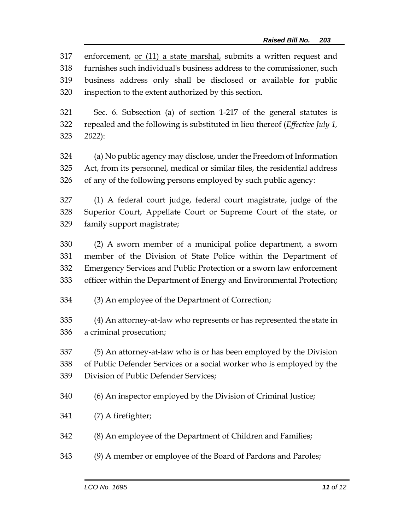enforcement, or (11) a state marshal, submits a written request and furnishes such individual's business address to the commissioner, such business address only shall be disclosed or available for public inspection to the extent authorized by this section.

 Sec. 6. Subsection (a) of section 1-217 of the general statutes is repealed and the following is substituted in lieu thereof (*Effective July 1, 2022*):

 (a) No public agency may disclose, under the Freedom of Information Act, from its personnel, medical or similar files, the residential address of any of the following persons employed by such public agency:

 (1) A federal court judge, federal court magistrate, judge of the Superior Court, Appellate Court or Supreme Court of the state, or family support magistrate;

 (2) A sworn member of a municipal police department, a sworn member of the Division of State Police within the Department of Emergency Services and Public Protection or a sworn law enforcement officer within the Department of Energy and Environmental Protection;

(3) An employee of the Department of Correction;

 (4) An attorney-at-law who represents or has represented the state in a criminal prosecution;

 (5) An attorney-at-law who is or has been employed by the Division of Public Defender Services or a social worker who is employed by the Division of Public Defender Services;

- (6) An inspector employed by the Division of Criminal Justice;
- (7) A firefighter;
- (8) An employee of the Department of Children and Families;
- (9) A member or employee of the Board of Pardons and Paroles;